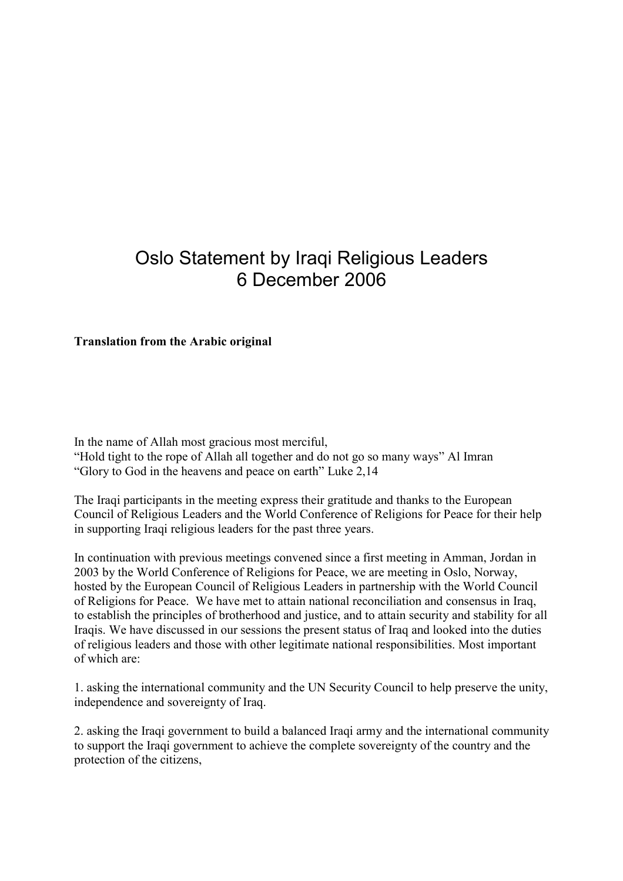## Oslo Statement by Iraqi Religious Leaders 6 December 2006

## Translation from the Arabic original

In the name of Allah most gracious most merciful, "Hold tight to the rope of Allah all together and do not go so many ways" Al Imran "Glory to God in the heavens and peace on earth" Luke 2,14

The Iraqi participants in the meeting express their gratitude and thanks to the European Council of Religious Leaders and the World Conference of Religions for Peace for their help in supporting Iraqi religious leaders for the past three years.

In continuation with previous meetings convened since a first meeting in Amman, Jordan in 2003 by the World Conference of Religions for Peace, we are meeting in Oslo, Norway, hosted by the European Council of Religious Leaders in partnership with the World Council of Religions for Peace. We have met to attain national reconciliation and consensus in Iraq, to establish the principles of brotherhood and justice, and to attain security and stability for all Iraqis. We have discussed in our sessions the present status of Iraq and looked into the duties of religious leaders and those with other legitimate national responsibilities. Most important of which are:

1. asking the international community and the UN Security Council to help preserve the unity, independence and sovereignty of Iraq.

2. asking the Iraqi government to build a balanced Iraqi army and the international community to support the Iraqi government to achieve the complete sovereignty of the country and the protection of the citizens,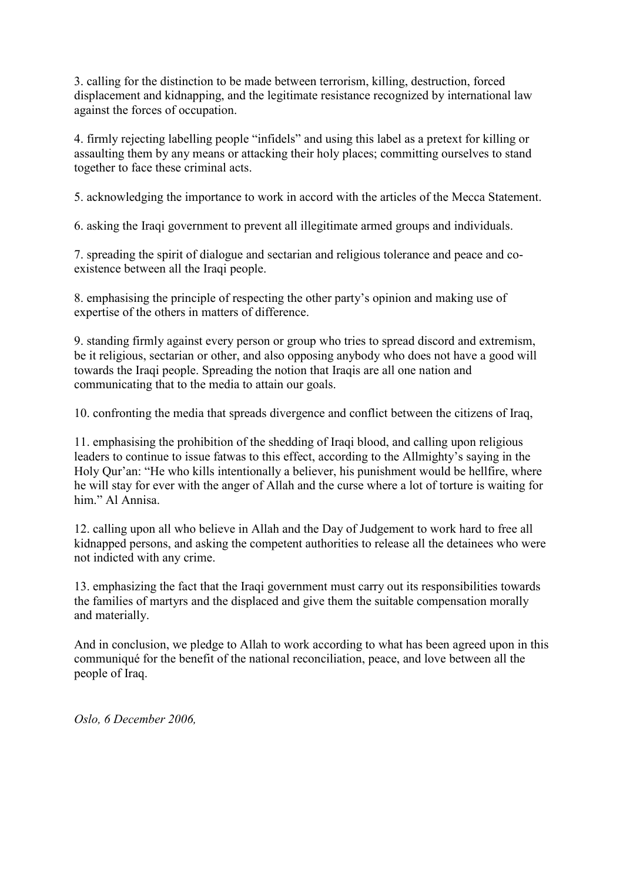3. calling for the distinction to be made between terrorism, killing, destruction, forced displacement and kidnapping, and the legitimate resistance recognized by international law against the forces of occupation.

4. firmly rejecting labelling people "infidels" and using this label as a pretext for killing or assaulting them by any means or attacking their holy places; committing ourselves to stand together to face these criminal acts.

5. acknowledging the importance to work in accord with the articles of the Mecca Statement.

6. asking the Iraqi government to prevent all illegitimate armed groups and individuals.

7. spreading the spirit of dialogue and sectarian and religious tolerance and peace and coexistence between all the Iraqi people.

8. emphasising the principle of respecting the other party's opinion and making use of expertise of the others in matters of difference.

9. standing firmly against every person or group who tries to spread discord and extremism, be it religious, sectarian or other, and also opposing anybody who does not have a good will towards the Iraqi people. Spreading the notion that Iraqis are all one nation and communicating that to the media to attain our goals.

10. confronting the media that spreads divergence and conflict between the citizens of Iraq,

11. emphasising the prohibition of the shedding of Iraqi blood, and calling upon religious leaders to continue to issue fatwas to this effect, according to the Allmighty's saying in the Holy Qur'an: "He who kills intentionally a believer, his punishment would be hellfire, where he will stay for ever with the anger of Allah and the curse where a lot of torture is waiting for him." Al Annisa.

12. calling upon all who believe in Allah and the Day of Judgement to work hard to free all kidnapped persons, and asking the competent authorities to release all the detainees who were not indicted with any crime.

13. emphasizing the fact that the Iraqi government must carry out its responsibilities towards the families of martyrs and the displaced and give them the suitable compensation morally and materially.

And in conclusion, we pledge to Allah to work according to what has been agreed upon in this communiqué for the benefit of the national reconciliation, peace, and love between all the people of Iraq.

Oslo, 6 December 2006,